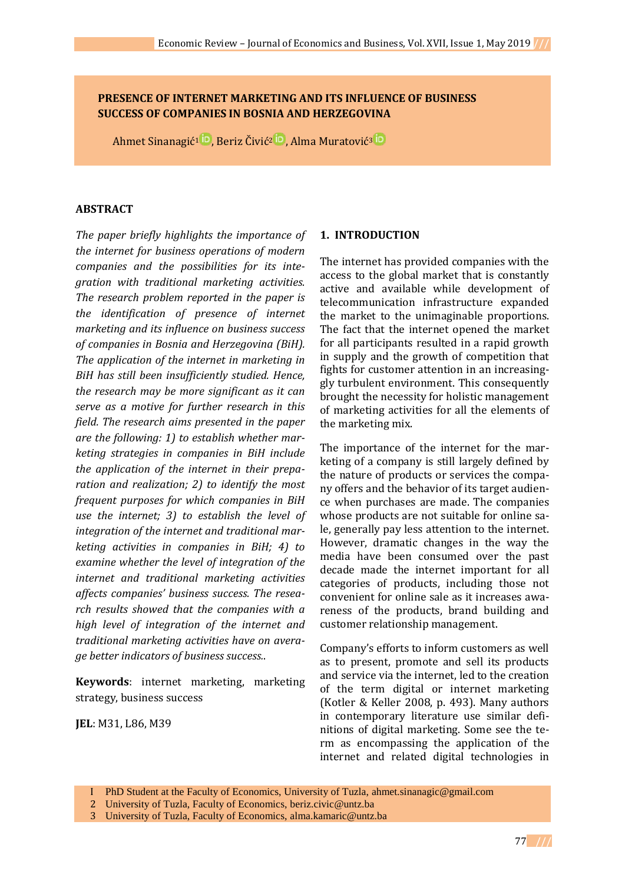# **PRESENCE OF INTERNET MARKETING AND ITS INFLUENCE OF BUSINESS SUCCESS OF COMPANIES IN BOSNIA AND HERZEGOVINA**

Ahmet [Sinanagić](https://orcid.org/0000-0003-2085-3695)<sup>1 in</sup>, Beriz [Čivić](https://orcid.org/0000-0001-9307-2991)<sup>2 in</sup>, Alma [Muratović](https://orcid.org/0000-0003-4162-7822)<sup>3 in</sup>

### **ABSTRACT**

*The paper briefly highlights the importance of the internet for business operations of modern companies and the possibilities for its integration with traditional marketing activities. The research problem reported in the paper is the identification of presence of internet marketing and its influence on business success of companies in Bosnia and Herzegovina (BiH). The application of the internet in marketing in BiH has still been insufficiently studied. Hence, the research may be more significant as it can serve as a motive for further research in this field. The research aims presented in the paper are the following: 1) to establish whether marketing strategies in companies in BiH include the application of the internet in their preparation and realization; 2) to identify the most frequent purposes for which companies in BiH use the internet; 3) to establish the level of integration of the internet and traditional marketing activities in companies in BiH; 4) to examine whether the level of integration of the internet and traditional marketing activities affects companies' business success. The research results showed that the companies with a high level of integration of the internet and traditional marketing activities have on average better indicators of business success.*.

**Keywords**: internet marketing, marketing strategy, business success

**JEL**: M31, L86, M39

### **1. INTRODUCTION**

The internet has provided companies with the access to the global market that is constantly active and available while development of telecommunication infrastructure expanded the market to the unimaginable proportions. The fact that the internet opened the market for all participants resulted in a rapid growth in supply and the growth of competition that fights for customer attention in an increasinggly turbulent environment. This consequently brought the necessity for holistic management of marketing activities for all the elements of the marketing mix.

The importance of the internet for the marketing of a company is still largely defined by the nature of products or services the company offers and the behavior of its target audience when purchases are made. The companies whose products are not suitable for online sale, generally pay less attention to the internet. However, dramatic changes in the way the media have been consumed over the past decade made the internet important for all categories of products, including those not convenient for online sale as it increases awareness of the products, brand building and customer relationship management.

Company's efforts to inform customers as well as to present, promote and sell its products and service via the internet, led to the creation of the term digital or internet marketing (Kotler & Keller 2008, p. 493). Many authors in contemporary literature use similar definitions of digital marketing. Some see the term as encompassing the application of the internet and related digital technologies in

3 University of Tuzla, Faculty of Economics, [alma.kamaric@untz.ba](mailto:alma.kamaric@untz.ba)

I PhD Student at the Faculty of Economics, University of Tuzla, [ahmet.sinanagic@gmail.com](mailto:ahmet.sinanagic@gmail.com)

<sup>2</sup> University of Tuzla, Faculty of Economics, [beriz.civic@untz.ba](mailto:beriz.civic@untz.ba)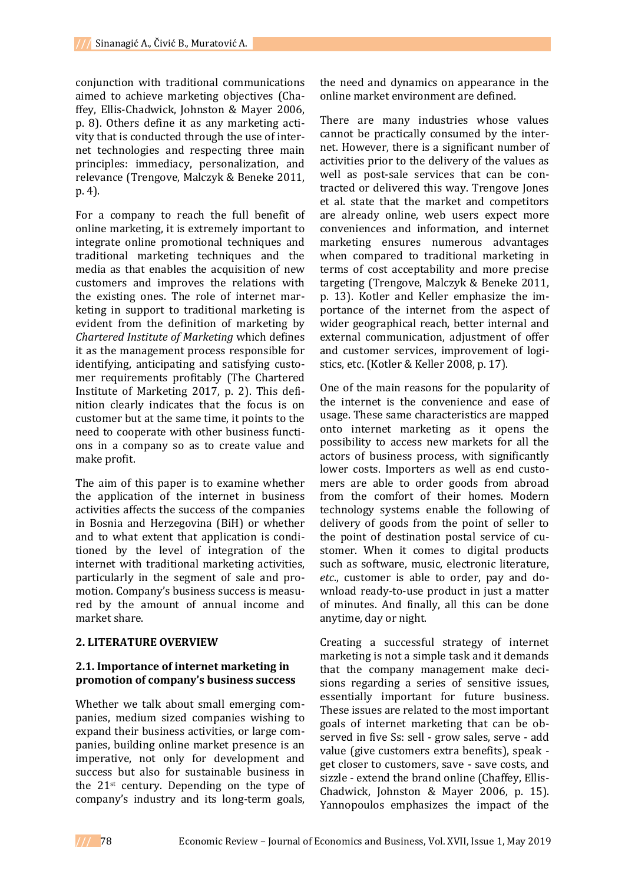conjunction with traditional communications aimed to achieve marketing objectives (Chaffey, Ellis-Chadwick, Johnston & Mayer 2006, p. 8). Others define it as any marketing activity that is conducted through the use of internet technologies and respecting three main principles: immediacy, personalization, and relevance (Trengove, Malczyk & Beneke 2011, p. 4).

For a company to reach the full benefit of online marketing, it is extremely important to integrate online promotional techniques and traditional marketing techniques and the media as that enables the acquisition of new customers and improves the relations with the existing ones. The role of internet marketing in support to traditional marketing is evident from the definition of marketing by *Chartered Institute of Marketing* which defines it as the management process responsible for identifying, anticipating and satisfying customer requirements profitably (The Chartered Institute of Marketing 2017, p. 2). This definition clearly indicates that the focus is on customer but at the same time, it points to the need to cooperate with other business functions in a company so as to create value and make profit.

The aim of this paper is to examine whether the application of the internet in business activities affects the success of the companies in Bosnia and Herzegovina (BiH) or whether and to what extent that application is conditioned by the level of integration of the internet with traditional marketing activities, particularly in the segment of sale and promotion. Company's business success is measured by the amount of annual income and market share.

### **2. LITERATURE OVERVIEW**

### **2.1. Importance of internet marketing in promotion of company's business success**

Whether we talk about small emerging companies, medium sized companies wishing to expand their business activities, or large companies, building online market presence is an imperative, not only for development and success but also for sustainable business in the 21st century. Depending on the type of company's industry and its long-term goals,

the need and dynamics on appearance in the online market environment are defined.

There are many industries whose values cannot be practically consumed by the internet. However, there is a significant number of activities prior to the delivery of the values as well as post-sale services that can be contracted or delivered this way. Trengove Jones et al. state that the market and competitors are already online, web users expect more conveniences and information, and internet marketing ensures numerous advantages when compared to traditional marketing in terms of cost acceptability and more precise targeting (Trengove, Malczyk & Beneke 2011, p. 13). Kotler and Keller emphasize the importance of the internet from the aspect of wider geographical reach, better internal and external communication, adjustment of offer and customer services, improvement of logistics, etc. (Kotler & Keller 2008, p. 17).

One of the main reasons for the popularity of the internet is the convenience and ease of usage. These same characteristics are mapped onto internet marketing as it opens the possibility to access new markets for all the actors of business process, with significantly lower costs. Importers as well as end customers are able to order goods from abroad from the comfort of their homes. Modern technology systems enable the following of delivery of goods from the point of seller to the point of destination postal service of customer. When it comes to digital products such as software, music, electronic literature, *etc*., customer is able to order, pay and download ready-to-use product in just a matter of minutes. And finally, all this can be done anytime, day or night.

Creating a successful strategy of internet marketing is not a simple task and it demands that the company management make decisions regarding a series of sensitive issues, essentially important for future business. These issues are related to the most important goals of internet marketing that can be observed in five Ss: sell - grow sales, serve - add value (give customers extra benefits), speak get closer to customers, save - save costs, and sizzle - extend the brand online (Chaffey, Ellis-Chadwick, Johnston & Mayer 2006, p. 15). Yannopoulos emphasizes the impact of the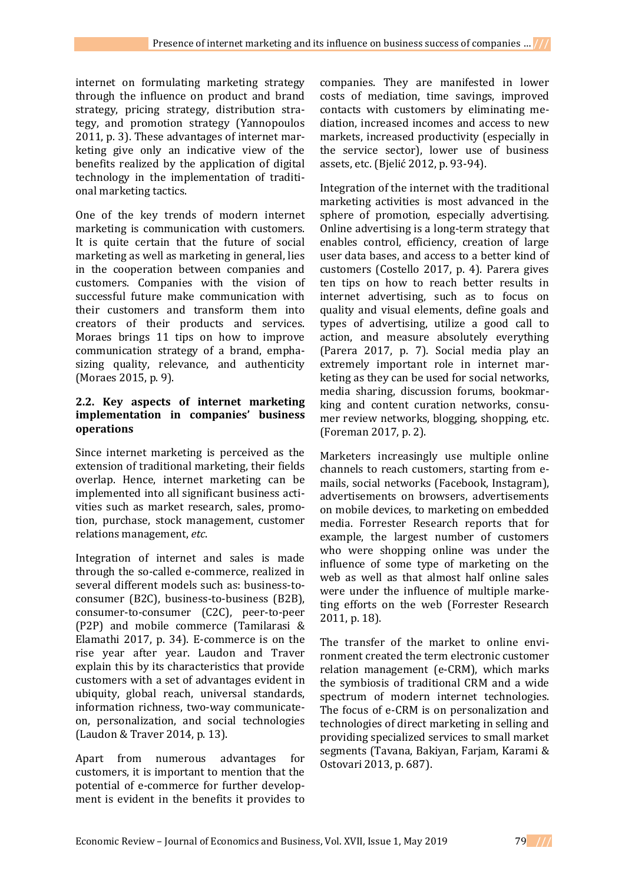internet on formulating marketing strategy through the influence on product and brand strategy, pricing strategy, distribution strategy, and promotion strategy (Yannopoulos 2011, p. 3). These advantages of internet marketing give only an indicative view of the benefits realized by the application of digital technology in the implementation of traditional marketing tactics.

One of the key trends of modern internet marketing is communication with customers. It is quite certain that the future of social marketing as well as marketing in general, lies in the cooperation between companies and customers. Companies with the vision of successful future make communication with their customers and transform them into creators of their products and services. Moraes brings 11 tips on how to improve communication strategy of a brand, emphasizing quality, relevance, and authenticity (Moraes 2015, p. 9).

### **2.2. Key aspects of internet marketing implementation in companies' business operations**

Since internet marketing is perceived as the extension of traditional marketing, their fields overlap. Hence, internet marketing can be implemented into all significant business activities such as market research, sales, promotion, purchase, stock management, customer relations management, *etc*.

Integration of internet and sales is made through the so-called e-commerce, realized in several different models such as: business-toconsumer (B2C), business-to-business (B2B), consumer-to-consumer (C2C), peer-to-peer (P2P) and mobile commerce (Tamilarasi & Elamathi 2017, p. 34). E-commerce is on the rise year after year. Laudon and Traver explain this by its characteristics that provide customers with a set of advantages evident in ubiquity, global reach, universal standards, information richness, two-way communicateon, personalization, and social technologies (Laudon & Traver 2014, p. 13).

Apart from numerous advantages for customers, it is important to mention that the potential of e-commerce for further development is evident in the benefits it provides to

companies. They are manifested in lower costs of mediation, time savings, improved contacts with customers by eliminating mediation, increased incomes and access to new markets, increased productivity (especially in the service sector), lower use of business assets, etc. (Bjelić 2012, p. 93-94).

Integration of the internet with the traditional marketing activities is most advanced in the sphere of promotion, especially advertising. Online advertising is a long-term strategy that enables control, efficiency, creation of large user data bases, and access to a better kind of customers (Costello 2017, p. 4). Parera gives ten tips on how to reach better results in internet advertising, such as to focus on quality and visual elements, define goals and types of advertising, utilize a good call to action, and measure absolutely everything (Parera 2017, p. 7). Social media play an extremely important role in internet marketing as they can be used for social networks, media sharing, discussion forums, bookmarking and content curation networks, consumer review networks, blogging, shopping, etc. (Foreman 2017, p. 2).

Marketers increasingly use multiple online channels to reach customers, starting from emails, social networks (Facebook, Instagram), advertisements on browsers, advertisements on mobile devices, to marketing on embedded media. Forrester Research reports that for example, the largest number of customers who were shopping online was under the influence of some type of marketing on the web as well as that almost half online sales were under the influence of multiple marketing efforts on the web (Forrester Research 2011, p. 18).

The transfer of the market to online environment created the term electronic customer relation management (e-CRM), which marks the symbiosis of traditional CRM and a wide spectrum of modern internet technologies. The focus of e-CRM is on personalization and technologies of direct marketing in selling and providing specialized services to small market segments (Tavana, Bakiyan, Farjam, Karami & Ostovari 2013, p. 687).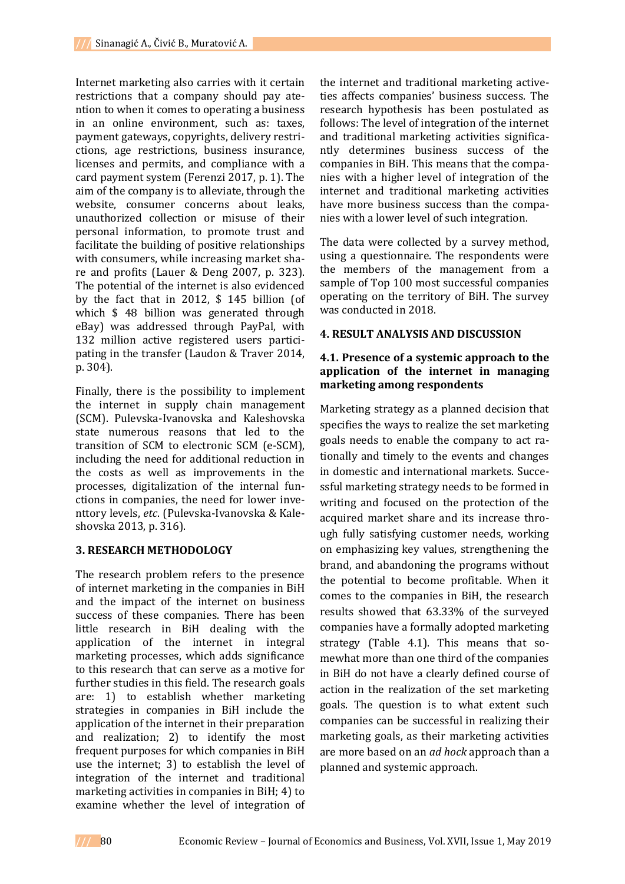Internet marketing also carries with it certain restrictions that a company should pay atention to when it comes to operating a business in an online environment, such as: taxes, payment gateways, copyrights, delivery restrictions, age restrictions, business insurance, licenses and permits, and compliance with a card payment system (Ferenzi 2017, p. 1). The aim of the company is to alleviate, through the website, consumer concerns about leaks, unauthorized collection or misuse of their personal information, to promote trust and facilitate the building of positive relationships with consumers, while increasing market share and profits (Lauer & Deng 2007, p. 323). The potential of the internet is also evidenced by the fact that in 2012, \$ 145 billion (of which \$ 48 billion was generated through eBay) was addressed through PayPal, with 132 million active registered users participating in the transfer (Laudon & Traver 2014, p. 304).

Finally, there is the possibility to implement the internet in supply chain management (SCM). Pulevska-Ivanovska and Kaleshovska state numerous reasons that led to the transition of SCM to electronic SCM (e-SCM), including the need for additional reduction in the costs as well as improvements in the processes, digitalization of the internal functions in companies, the need for lower inventtory levels, *etc*. (Pulevska-Ivanovska & Kaleshovska 2013, p. 316).

## **3. RESEARCH METHODOLOGY**

The research problem refers to the presence of internet marketing in the companies in BiH and the impact of the internet on business success of these companies. There has been little research in BiH dealing with the application of the internet in integral marketing processes, which adds significance to this research that can serve as a motive for further studies in this field. The research goals are: 1) to establish whether marketing strategies in companies in BiH include the application of the internet in their preparation and realization; 2) to identify the most frequent purposes for which companies in BiH use the internet; 3) to establish the level of integration of the internet and traditional marketing activities in companies in BiH; 4) to examine whether the level of integration of

the internet and traditional marketing activeties affects companies' business success. The research hypothesis has been postulated as follows: The level of integration of the internet and traditional marketing activities significantly determines business success of the companies in BiH. This means that the companies with a higher level of integration of the internet and traditional marketing activities have more business success than the companies with a lower level of such integration.

The data were collected by a survey method, using a questionnaire. The respondents were the members of the management from a sample of Top 100 most successful companies operating on the territory of BiH. The survey was conducted in 2018.

### **4. RESULT ANALYSIS AND DISCUSSION**

### **4.1. Presence of a systemic approach to the application of the internet in managing marketing among respondents**

Marketing strategy as a planned decision that specifies the ways to realize the set marketing goals needs to enable the company to act rationally and timely to the events and changes in domestic and international markets. Successful marketing strategy needs to be formed in writing and focused on the protection of the acquired market share and its increase through fully satisfying customer needs, working on emphasizing key values, strengthening the brand, and abandoning the programs without the potential to become profitable. When it comes to the companies in BiH, the research results showed that 63.33% of the surveyed companies have a formally adopted marketing strategy (Table 4.1). This means that somewhat more than one third of the companies in BiH do not have a clearly defined course of action in the realization of the set marketing goals. The question is to what extent such companies can be successful in realizing their marketing goals, as their marketing activities are more based on an *ad hock* approach than a planned and systemic approach.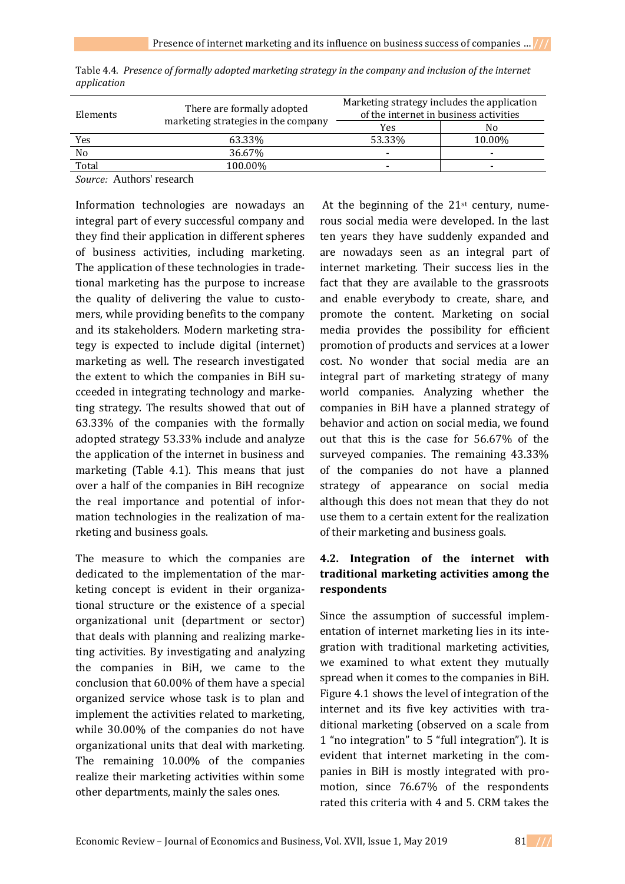| There are formally adopted | Marketing strategy includes the application<br>of the internet in business activities |        |  |  |
|----------------------------|---------------------------------------------------------------------------------------|--------|--|--|
|                            | Yes                                                                                   | No     |  |  |
| 63.33%                     | 53.33%                                                                                | 10.00% |  |  |
| 36.67%                     |                                                                                       |        |  |  |
| 100.00%                    |                                                                                       |        |  |  |
|                            | marketing strategies in the company                                                   |        |  |  |

Table 4.4. *Presence of formally adopted marketing strategy in the company and inclusion of the internet application*

*Source:* Authors' research

Information technologies are nowadays an integral part of every successful company and they find their application in different spheres of business activities, including marketing. The application of these technologies in tradetional marketing has the purpose to increase the quality of delivering the value to customers, while providing benefits to the company and its stakeholders. Modern marketing strategy is expected to include digital (internet) marketing as well. The research investigated the extent to which the companies in BiH succeeded in integrating technology and marketing strategy. The results showed that out of 63.33% of the companies with the formally adopted strategy 53.33% include and analyze the application of the internet in business and marketing (Table 4.1). This means that just over a half of the companies in BiH recognize the real importance and potential of information technologies in the realization of marketing and business goals.

The measure to which the companies are dedicated to the implementation of the marketing concept is evident in their organizational structure or the existence of a special organizational unit (department or sector) that deals with planning and realizing marketing activities. By investigating and analyzing the companies in BiH, we came to the conclusion that 60.00% of them have a special organized service whose task is to plan and implement the activities related to marketing, while 30.00% of the companies do not have organizational units that deal with marketing. The remaining 10.00% of the companies realize their marketing activities within some other departments, mainly the sales ones.

At the beginning of the  $21<sup>st</sup>$  century, numerous social media were developed. In the last ten years they have suddenly expanded and are nowadays seen as an integral part of internet marketing. Their success lies in the fact that they are available to the grassroots and enable everybody to create, share, and promote the content. Marketing on social media provides the possibility for efficient promotion of products and services at a lower cost. No wonder that social media are an integral part of marketing strategy of many world companies. Analyzing whether the companies in BiH have a planned strategy of behavior and action on social media, we found out that this is the case for 56.67% of the surveyed companies. The remaining 43.33% of the companies do not have a planned strategy of appearance on social media although this does not mean that they do not use them to a certain extent for the realization of their marketing and business goals.

# **4.2. Integration of the internet with traditional marketing activities among the respondents**

Since the assumption of successful implementation of internet marketing lies in its integration with traditional marketing activities, we examined to what extent they mutually spread when it comes to the companies in BiH. Figure 4.1 shows the level of integration of the internet and its five key activities with traditional marketing (observed on a scale from 1 "no integration" to 5 "full integration"). It is evident that internet marketing in the companies in BiH is mostly integrated with promotion, since 76.67% of the respondents rated this criteria with 4 and 5. CRM takes the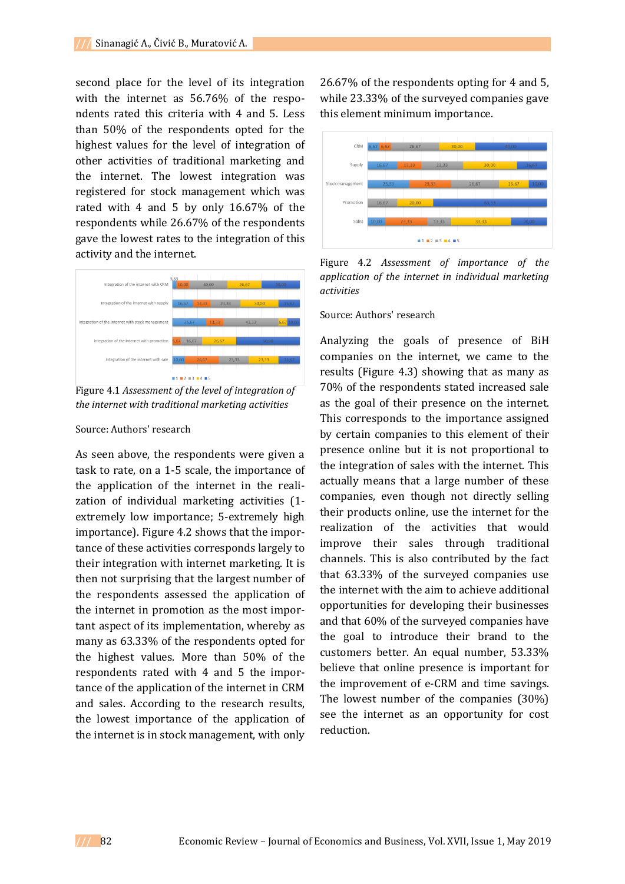second place for the level of its integration with the internet as 56.76% of the respondents rated this criteria with 4 and 5. Less than 50% of the respondents opted for the highest values for the level of integration of other activities of traditional marketing and the internet. The lowest integration was registered for stock management which was rated with 4 and 5 by only 16.67% of the respondents while 26.67% of the respondents gave the lowest rates to the integration of this activity and the internet.



Figure 4.1 *Assessment of the level of integration of the internet with traditional marketing activities*

#### Source: Authors' research

As seen above, the respondents were given a task to rate, on a 1-5 scale, the importance of the application of the internet in the realization of individual marketing activities (1 extremely low importance; 5-extremely high importance). Figure 4.2 shows that the importance of these activities corresponds largely to their integration with internet marketing. It is then not surprising that the largest number of the respondents assessed the application of the internet in promotion as the most important aspect of its implementation, whereby as many as 63.33% of the respondents opted for the highest values. More than 50% of the respondents rated with 4 and 5 the importance of the application of the internet in CRM and sales. According to the research results, the lowest importance of the application of the internet is in stock management, with only

26.67% of the respondents opting for 4 and 5, while 23.33% of the surveyed companies gave this element minimum importance.



Figure 4.2 *Assessment of importance of the application of the internet in individual marketing activities*

Source: Authors' research

Analyzing the goals of presence of BiH companies on the internet, we came to the results (Figure 4.3) showing that as many as 70% of the respondents stated increased sale as the goal of their presence on the internet. This corresponds to the importance assigned by certain companies to this element of their presence online but it is not proportional to the integration of sales with the internet. This actually means that a large number of these companies, even though not directly selling their products online, use the internet for the realization of the activities that would improve their sales through traditional channels. This is also contributed by the fact that 63.33% of the surveyed companies use the internet with the aim to achieve additional opportunities for developing their businesses and that 60% of the surveyed companies have the goal to introduce their brand to the customers better. An equal number, 53.33% believe that online presence is important for the improvement of e-CRM and time savings. The lowest number of the companies (30%) see the internet as an opportunity for cost reduction.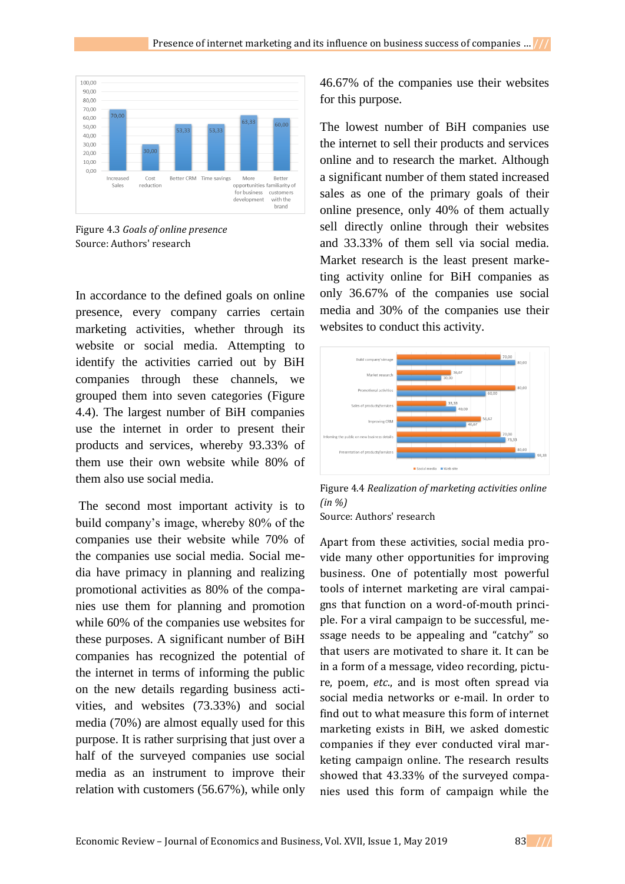

Figure 4.3 *Goals of online presence* Source: Authors' research

In accordance to the defined goals on online presence, every company carries certain marketing activities, whether through its website or social media. Attempting to identify the activities carried out by BiH companies through these channels, we grouped them into seven categories (Figure 4.4). The largest number of BiH companies use the internet in order to present their products and services, whereby 93.33% of them use their own website while 80% of them also use social media.

The second most important activity is to build company's image, whereby 80% of the companies use their website while 70% of the companies use social media. Social media have primacy in planning and realizing promotional activities as 80% of the companies use them for planning and promotion while 60% of the companies use websites for these purposes. A significant number of BiH companies has recognized the potential of the internet in terms of informing the public on the new details regarding business activities, and websites (73.33%) and social media (70%) are almost equally used for this purpose. It is rather surprising that just over a half of the surveyed companies use social media as an instrument to improve their relation with customers (56.67%), while only

46.67% of the companies use their websites for this purpose.

The lowest number of BiH companies use the internet to sell their products and services online and to research the market. Although a significant number of them stated increased sales as one of the primary goals of their online presence, only 40% of them actually sell directly online through their websites and 33.33% of them sell via social media. Market research is the least present marketing activity online for BiH companies as only 36.67% of the companies use social media and 30% of the companies use their websites to conduct this activity.



Figure 4.4 *Realization of marketing activities online (in %)*

Source: Authors' research

Apart from these activities, social media provide many other opportunities for improving business. One of potentially most powerful tools of internet marketing are viral campaigns that function on a word-of-mouth principle. For a viral campaign to be successful, message needs to be appealing and "catchy" so that users are motivated to share it. It can be in a form of a message, video recording, picture, poem, *etc*., and is most often spread via social media networks or e-mail. In order to find out to what measure this form of internet marketing exists in BiH, we asked domestic companies if they ever conducted viral marketing campaign online. The research results showed that 43.33% of the surveyed companies used this form of campaign while the

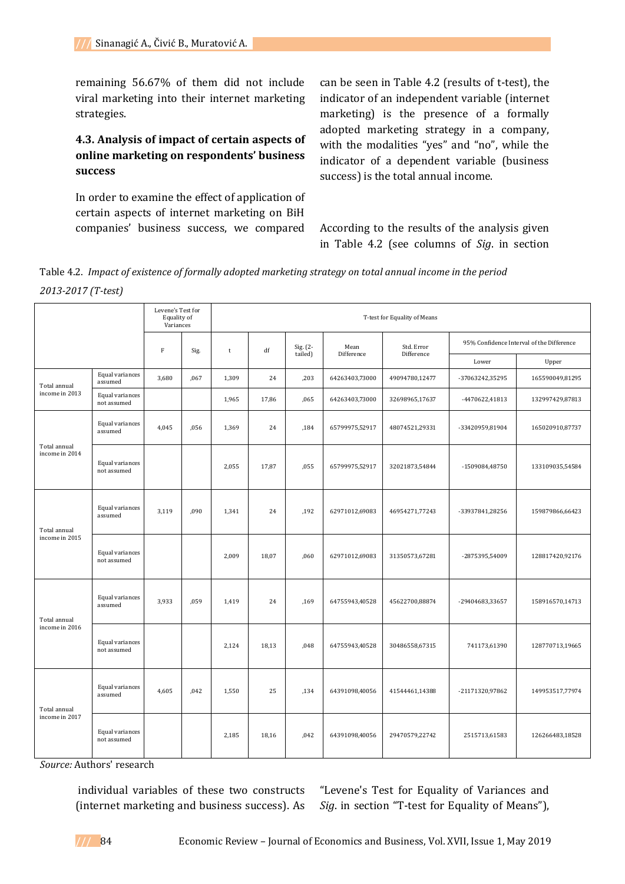remaining 56.67% of them did not include viral marketing into their internet marketing strategies.

# **4.3. Analysis of impact of certain aspects of online marketing on respondents' business success**

In order to examine the effect of application of certain aspects of internet marketing on BiH companies' business success, we compared can be seen in Table 4.2 (results of t-test), the indicator of an independent variable (internet marketing) is the presence of a formally adopted marketing strategy in a company, with the modalities "yes" and "no", while the indicator of a dependent variable (business success) is the total annual income.

According to the results of the analysis given in Table 4.2 (see columns of *Sig*. in section

Table 4.2. *Impact of existence of formally adopted marketing strategy on total annual income in the period 2013-2017 (T-test)*

|                                | Levene's Test for<br>Equality of<br>T-test for Equality of Means<br>Variances |       |      |               |       |                     |                    |                |                                           |                 |
|--------------------------------|-------------------------------------------------------------------------------|-------|------|---------------|-------|---------------------|--------------------|----------------|-------------------------------------------|-----------------|
|                                |                                                                               | F     | Sig. | $^\mathrm{t}$ | df    | Sig. (2-<br>tailed) | Mean<br>Difference | Std. Error     | 95% Confidence Interval of the Difference |                 |
|                                |                                                                               |       |      |               |       |                     |                    | Difference     | Lower                                     | Upper           |
| Total annual                   | Equal variances<br>assumed                                                    | 3,680 | ,067 | 1,309         | 24    | ,203                | 64263403,73000     | 49094780,12477 | -37063242,35295                           | 165590049,81295 |
| income in 2013                 | Equal variances<br>not assumed                                                |       |      | 1,965         | 17,86 | ,065                | 64263403,73000     | 32698965,17637 | -4470622,41813                            | 132997429,87813 |
| Total annual<br>income in 2014 | Equal variances<br>assumed                                                    | 4,045 | ,056 | 1,369         | 24    | ,184                | 65799975,52917     | 48074521,29331 | -33420959,81904                           | 165020910,87737 |
|                                | Equal variances<br>not assumed                                                |       |      | 2,055         | 17,87 | ,055                | 65799975,52917     | 32021873,54844 | -1509084,48750                            | 133109035,54584 |
| Total annual<br>income in 2015 | Equal variances<br>assumed                                                    | 3,119 | ,090 | 1,341         | 24    | ,192                | 62971012,69083     | 46954271,77243 | -33937841,28256                           | 159879866,66423 |
|                                | Equal variances<br>not assumed                                                |       |      | 2,009         | 18,07 | ,060                | 62971012,69083     | 31350573,67281 | -2875395,54009                            | 128817420,92176 |
| Total annual                   | Equal variances<br>assumed                                                    | 3,933 | ,059 | 1,419         | 24    | ,169                | 64755943,40528     | 45622700,88874 | -29404683,33657                           | 158916570,14713 |
| income in 2016                 | Equal variances<br>not assumed                                                |       |      | 2,124         | 18,13 | ,048                | 64755943,40528     | 30486558,67315 | 741173,61390                              | 128770713,19665 |
| Total annual<br>income in 2017 | Equal variances<br>assumed                                                    | 4,605 | ,042 | 1,550         | 25    | ,134                | 64391098,40056     | 41544461,14388 | -21171320,97862                           | 149953517,77974 |
|                                | Equal variances<br>not assumed                                                |       |      | 2,185         | 18,16 | ,042                | 64391098,40056     | 29470579,22742 | 2515713,61583                             | 126266483,18528 |

*Source:* Authors' research

individual variables of these two constructs (internet marketing and business success). As

"Levene's Test for Equality of Variances and *Sig*. in section "T-test for Equality of Means"),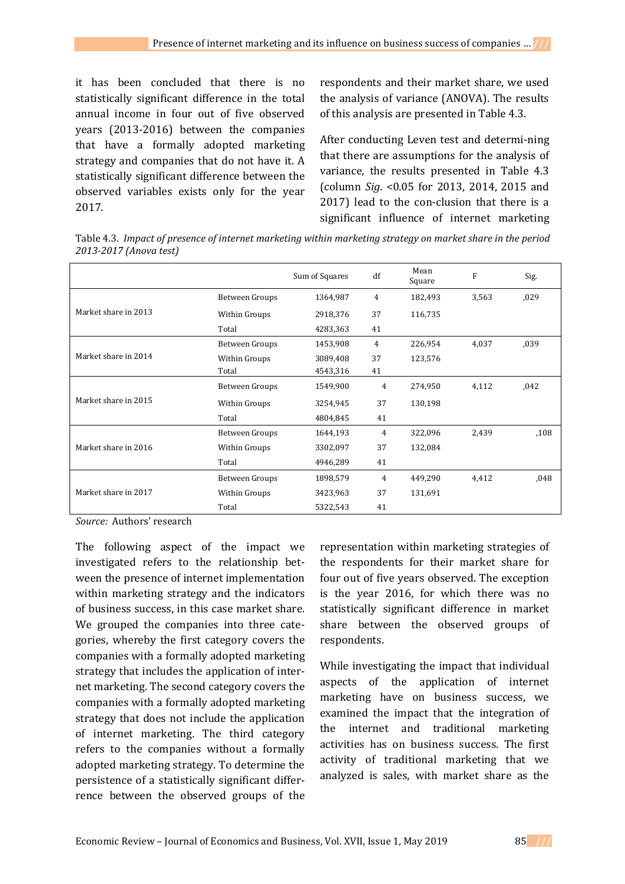it has been concluded that there is no statistically significant difference in the total annual income in four out of five observed years (2013-2016) between the companies that have a formally adopted marketing strategy and companies that do not have it. A statistically significant difference between the observed variables exists only for the year 2017.

respondents and their market share, we used the analysis of variance (ANOVA). The results of this analysis are presented in Table 4.3.

After conducting Leven test and determi-ning that there are assumptions for the analysis of variance, the results presented in Table 4.3 (column *Sig*. <0.05 for 2013, 2014, 2015 and 2017) lead to the con-clusion that there is a significant influence of internet marketing

Table 4.3. *Impact of presence of internet marketing within marketing strategy on market share in the period 2013-2017 (Anova test)*

|                      |                | Sum of Squares | df | Mean<br>Square | F     | Sig. |
|----------------------|----------------|----------------|----|----------------|-------|------|
|                      | Between Groups | 1364,987       | 4  | 182,493        | 3,563 | ,029 |
| Market share in 2013 | Within Groups  | 2918,376       | 37 | 116,735        |       |      |
|                      | Total          | 4283,363       | 41 |                |       |      |
|                      | Between Groups | 1453,908       | 4  | 226,954        | 4,037 | ,039 |
| Market share in 2014 | Within Groups  | 3089,408       | 37 | 123,576        |       |      |
|                      | Total          | 4543,316       | 41 |                |       |      |
|                      | Between Groups | 1549,900       | 4  | 274,950        | 4,112 | ,042 |
| Market share in 2015 | Within Groups  | 3254,945       | 37 | 130,198        |       |      |
|                      | Total          | 4804,845       | 41 |                |       |      |
|                      | Between Groups | 1644,193       | 4  | 322,096        | 2,439 | ,108 |
| Market share in 2016 | Within Groups  | 3302,097       | 37 | 132,084        |       |      |
|                      | Total          | 4946,289       | 41 |                |       |      |
|                      | Between Groups | 1898,579       | 4  | 449,290        | 4,412 | ,048 |
| Market share in 2017 | Within Groups  | 3423,963       | 37 | 131,691        |       |      |
|                      | Total          | 5322,543       | 41 |                |       |      |

*Source:* Authors' research

The following aspect of the impact we investigated refers to the relationship between the presence of internet implementation within marketing strategy and the indicators of business success, in this case market share. We grouped the companies into three categories, whereby the first category covers the companies with a formally adopted marketing strategy that includes the application of internet marketing. The second category covers the companies with a formally adopted marketing strategy that does not include the application of internet marketing. The third category refers to the companies without a formally adopted marketing strategy. To determine the persistence of a statistically significant differrence between the observed groups of the representation within marketing strategies of the respondents for their market share for four out of five years observed. The exception is the year 2016, for which there was no statistically significant difference in market share between the observed groups of respondents.

While investigating the impact that individual aspects of the application of internet marketing have on business success, we examined the impact that the integration of the internet and traditional marketing activities has on business success. The first activity of traditional marketing that we analyzed is sales, with market share as the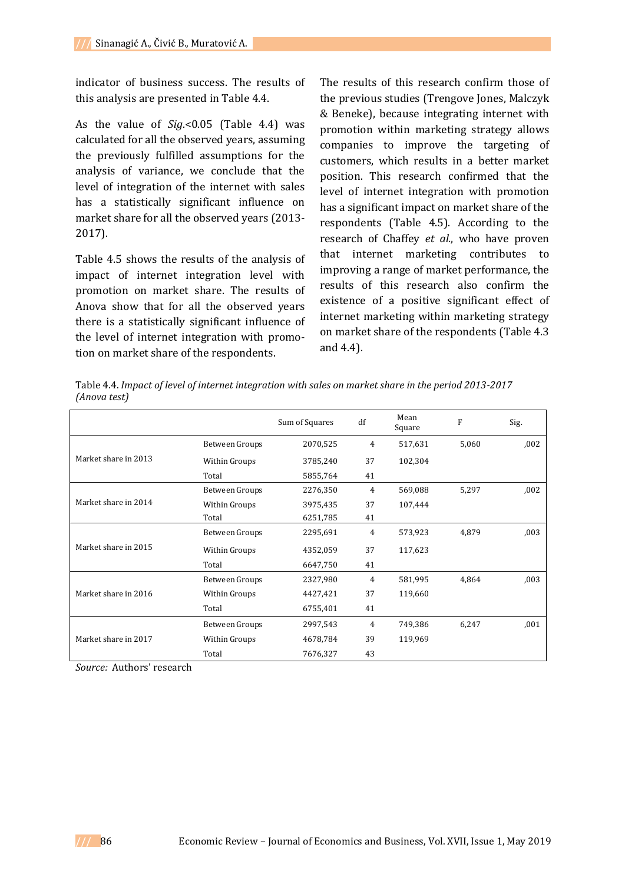indicator of business success. The results of this analysis are presented in Table 4.4.

As the value of *Sig*.<0.05 (Table 4.4) was calculated for all the observed years, assuming the previously fulfilled assumptions for the analysis of variance, we conclude that the level of integration of the internet with sales has a statistically significant influence on market share for all the observed years (2013- 2017).

Table 4.5 shows the results of the analysis of impact of internet integration level with promotion on market share. The results of Anova show that for all the observed years there is a statistically significant influence of the level of internet integration with promotion on market share of the respondents.

The results of this research confirm those of the previous studies (Trengove Jones, Malczyk & Beneke), because integrating internet with promotion within marketing strategy allows companies to improve the targeting of customers, which results in a better market position. This research confirmed that the level of internet integration with promotion has a significant impact on market share of the respondents (Table 4.5). According to the research of Chaffey *et al*., who have proven that internet marketing contributes to improving a range of market performance, the results of this research also confirm the existence of a positive significant effect of internet marketing within marketing strategy on market share of the respondents (Table 4.3 and 4.4).

Table 4.4. *Impact of level of internet integration with sales on market share in the period 2013-2017 (Anova test)*

|                      |                | Sum of Squares | df | Mean<br>Square | F     | Sig. |
|----------------------|----------------|----------------|----|----------------|-------|------|
| Market share in 2013 | Between Groups | 2070,525       | 4  | 517,631        | 5,060 | 002  |
|                      | Within Groups  | 3785,240       | 37 | 102,304        |       |      |
|                      | Total          | 5855,764       | 41 |                |       |      |
|                      | Between Groups | 2276,350       | 4  | 569,088        | 5,297 | ,002 |
| Market share in 2014 | Within Groups  | 3975,435       | 37 | 107,444        |       |      |
|                      | Total          | 6251,785       | 41 |                |       |      |
| Market share in 2015 | Between Groups | 2295,691       | 4  | 573,923        | 4,879 | ,003 |
|                      | Within Groups  | 4352,059       | 37 | 117,623        |       |      |
|                      | Total          | 6647,750       | 41 |                |       |      |
|                      | Between Groups | 2327,980       | 4  | 581,995        | 4,864 | ,003 |
| Market share in 2016 | Within Groups  | 4427,421       | 37 | 119,660        |       |      |
|                      | Total          | 6755,401       | 41 |                |       |      |
|                      | Between Groups | 2997,543       | 4  | 749,386        | 6,247 | ,001 |
| Market share in 2017 | Within Groups  | 4678,784       | 39 | 119,969        |       |      |
|                      | Total          | 7676,327       | 43 |                |       |      |

*Source:* Authors' research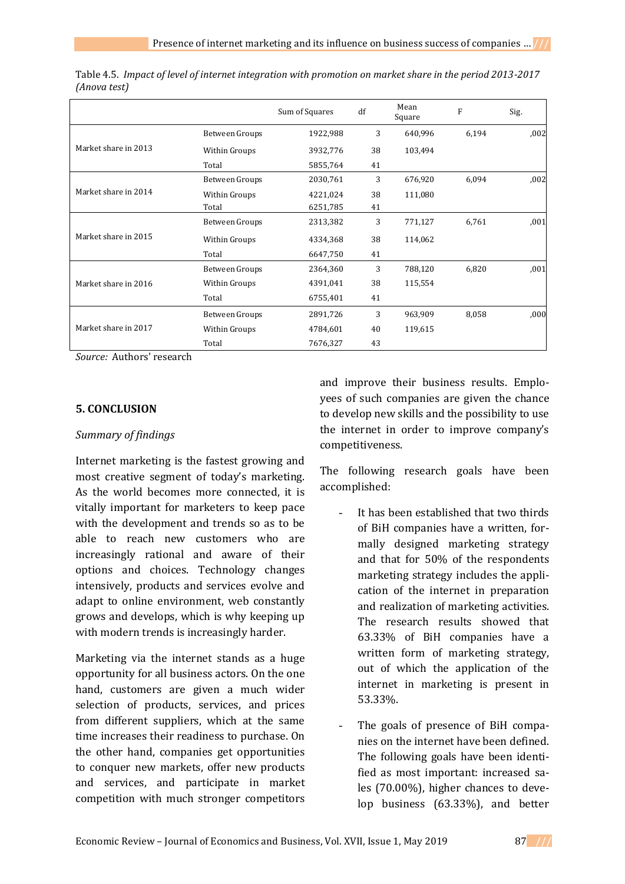|                      |                | Sum of Squares | df | Mean<br>Square | F     | Sig. |
|----------------------|----------------|----------------|----|----------------|-------|------|
| Market share in 2013 | Between Groups | 1922,988       | 3  | 640,996        | 6,194 | ,002 |
|                      | Within Groups  | 3932,776       | 38 | 103,494        |       |      |
|                      | Total          | 5855,764       | 41 |                |       |      |
|                      | Between Groups | 2030,761       | 3  | 676,920        | 6,094 | ,002 |
| Market share in 2014 | Within Groups  | 4221,024       | 38 | 111,080        |       |      |
|                      | Total          | 6251,785       | 41 |                |       |      |
| Market share in 2015 | Between Groups | 2313,382       | 3  | 771,127        | 6,761 | ,001 |
|                      | Within Groups  | 4334,368       | 38 | 114,062        |       |      |
|                      | Total          | 6647,750       | 41 |                |       |      |
| Market share in 2016 | Between Groups | 2364,360       | 3  | 788,120        | 6,820 | ,001 |
|                      | Within Groups  | 4391,041       | 38 | 115,554        |       |      |
|                      | Total          | 6755,401       | 41 |                |       |      |
| Market share in 2017 | Between Groups | 2891,726       | 3  | 963,909        | 8,058 | ,000 |
|                      | Within Groups  | 4784,601       | 40 | 119,615        |       |      |
|                      | Total          | 7676,327       | 43 |                |       |      |

Table 4.5. *Impact of level of internet integration with promotion on market share in the period 2013-2017 (Anova test)*

*Source:* Authors' research

### **5. CONCLUSION**

### *Summary of findings*

Internet marketing is the fastest growing and most creative segment of today's marketing. As the world becomes more connected, it is vitally important for marketers to keep pace with the development and trends so as to be able to reach new customers who are increasingly rational and aware of their options and choices. Technology changes intensively, products and services evolve and adapt to online environment, web constantly grows and develops, which is why keeping up with modern trends is increasingly harder.

Marketing via the internet stands as a huge opportunity for all business actors. On the one hand, customers are given a much wider selection of products, services, and prices from different suppliers, which at the same time increases their readiness to purchase. On the other hand, companies get opportunities to conquer new markets, offer new products and services, and participate in market competition with much stronger competitors

and improve their business results. Employees of such companies are given the chance to develop new skills and the possibility to use the internet in order to improve company's competitiveness.

The following research goals have been accomplished:

- It has been established that two thirds of BiH companies have a written, formally designed marketing strategy and that for 50% of the respondents marketing strategy includes the application of the internet in preparation and realization of marketing activities. The research results showed that 63.33% of BiH companies have a written form of marketing strategy, out of which the application of the internet in marketing is present in 53.33%.
- The goals of presence of BiH companies on the internet have been defined. The following goals have been identified as most important: increased sales (70.00%), higher chances to develop business (63.33%), and better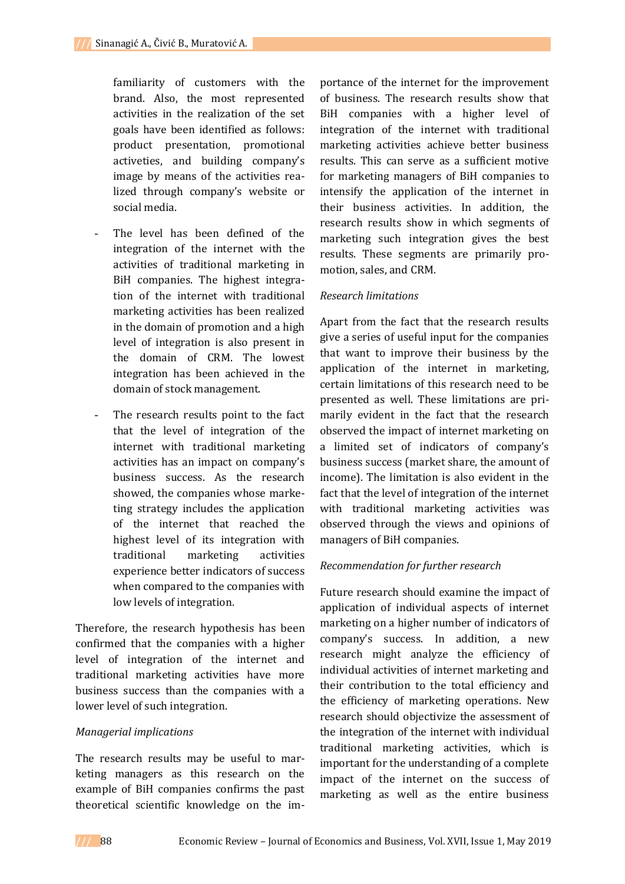familiarity of customers with the brand. Also, the most represented activities in the realization of the set goals have been identified as follows: product presentation, promotional activeties, and building company's image by means of the activities realized through company's website or social media.

- The level has been defined of the integration of the internet with the activities of traditional marketing in BiH companies. The highest integration of the internet with traditional marketing activities has been realized in the domain of promotion and a high level of integration is also present in the domain of CRM. The lowest integration has been achieved in the domain of stock management.
- The research results point to the fact that the level of integration of the internet with traditional marketing activities has an impact on company's business success. As the research showed, the companies whose marketing strategy includes the application of the internet that reached the highest level of its integration with traditional marketing activities experience better indicators of success when compared to the companies with low levels of integration.

Therefore, the research hypothesis has been confirmed that the companies with a higher level of integration of the internet and traditional marketing activities have more business success than the companies with a lower level of such integration.

### *Managerial implications*

The research results may be useful to marketing managers as this research on the example of BiH companies confirms the past theoretical scientific knowledge on the im-

portance of the internet for the improvement of business. The research results show that BiH companies with a higher level of integration of the internet with traditional marketing activities achieve better business results. This can serve as a sufficient motive for marketing managers of BiH companies to intensify the application of the internet in their business activities. In addition, the research results show in which segments of marketing such integration gives the best results. These segments are primarily promotion, sales, and CRM.

### *Research limitations*

Apart from the fact that the research results give a series of useful input for the companies that want to improve their business by the application of the internet in marketing, certain limitations of this research need to be presented as well. These limitations are primarily evident in the fact that the research observed the impact of internet marketing on a limited set of indicators of company's business success (market share, the amount of income). The limitation is also evident in the fact that the level of integration of the internet with traditional marketing activities was observed through the views and opinions of managers of BiH companies.

### *Recommendation for further research*

Future research should examine the impact of application of individual aspects of internet marketing on a higher number of indicators of company's success. In addition, a new research might analyze the efficiency of individual activities of internet marketing and their contribution to the total efficiency and the efficiency of marketing operations. New research should objectivize the assessment of the integration of the internet with individual traditional marketing activities, which is important for the understanding of a complete impact of the internet on the success of marketing as well as the entire business